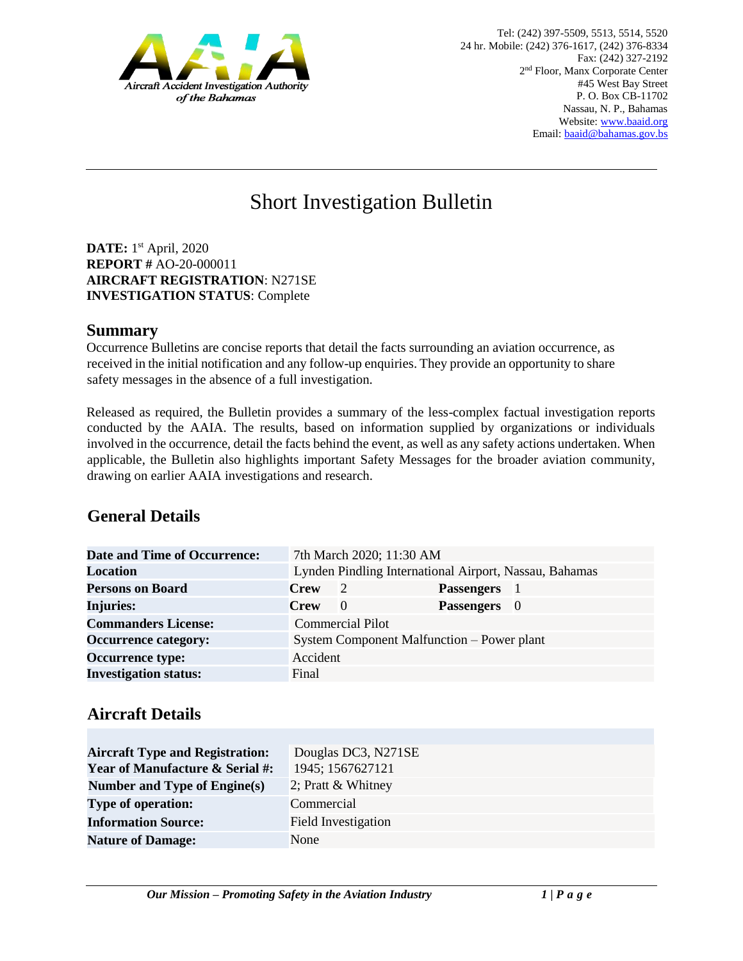

# Short Investigation Bulletin

**DATE:** 1<sup>st</sup> April, 2020 **REPORT #** AO-20-000011 **AIRCRAFT REGISTRATION: N271SE INVESTIGATION STATUS**: Complete

#### **Summary**

Occurrence Bulletins are concise reports that detail the facts surrounding an aviation occurrence, as received in the initial notification and any follow-up enquiries. They provide an opportunity to share safety messages in the absence of a full investigation*.* 

Released as required, the Bulletin provides a summary of the less-complex factual investigation reports conducted by the AAIA. The results, based on information supplied by organizations or individuals involved in the occurrence, detail the facts behind the event, as well as any safety actions undertaken. When applicable, the Bulletin also highlights important Safety Messages for the broader aviation community, drawing on earlier AAIA investigations and research.

# **General Details**

| <b>Date and Time of Occurrence:</b> | 7th March 2020; 11:30 AM                               |                                            |                   |                |
|-------------------------------------|--------------------------------------------------------|--------------------------------------------|-------------------|----------------|
| <b>Location</b>                     | Lynden Pindling International Airport, Nassau, Bahamas |                                            |                   |                |
| <b>Persons on Board</b>             | <b>Crew</b>                                            | 2                                          | <b>Passengers</b> | $\blacksquare$ |
| <b>Injuries:</b>                    | <b>Crew</b>                                            | $\Omega$                                   | Passengers 0      |                |
| <b>Commanders License:</b>          |                                                        | <b>Commercial Pilot</b>                    |                   |                |
| <b>Occurrence category:</b>         |                                                        | System Component Malfunction – Power plant |                   |                |
| <b>Occurrence type:</b>             | Accident                                               |                                            |                   |                |
| <b>Investigation status:</b>        | Final                                                  |                                            |                   |                |

## **Aircraft Details**

| <b>Aircraft Type and Registration:</b>     | Douglas DC3, N271SE  |
|--------------------------------------------|----------------------|
| <b>Year of Manufacture &amp; Serial #:</b> | 1945; 1567627121     |
| Number and Type of Engine(s)               | 2; Pratt $&$ Whitney |
| <b>Type of operation:</b>                  | Commercial           |
| <b>Information Source:</b>                 | Field Investigation  |
| <b>Nature of Damage:</b>                   | None                 |